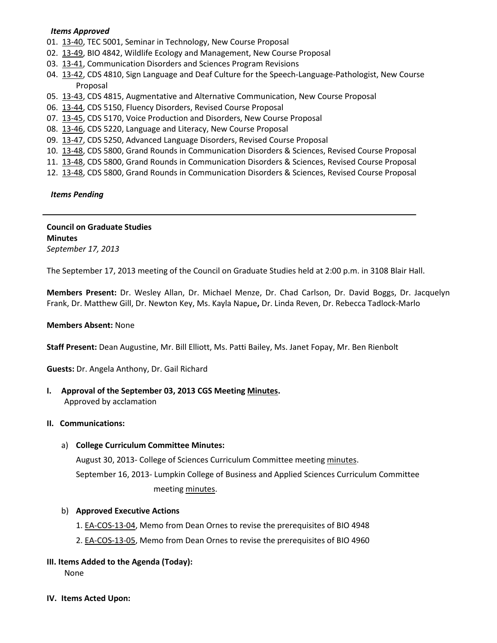## *Items Approved*

- 01. [13-40,](http://castle.eiu.edu/~eiucgs/currentagendaitems/agenda13-40.pdf) TEC 5001, Seminar in Technology, New Course Proposal
- 02. [13-49,](http://castle.eiu.edu/~eiucgs/currentagendaitems/agenda13-49.pdf) BIO 4842, Wildlife Ecology and Management, New Course Proposal
- 03. [13-41,](http://castle.eiu.edu/~eiucgs/currentagendaitems/agenda13-41.pdf) Communication Disorders and Sciences Program Revisions
- 04. [13-42,](http://castle.eiu.edu/~eiucgs/currentagendaitems/agenda13-42.pdf) CDS 4810, Sign Language and Deaf Culture for the Speech-Language-Pathologist, New Course Proposal
- 05. [13-43,](http://castle.eiu.edu/~eiucgs/currentagendaitems/agenda13-43.pdf) CDS 4815, Augmentative and Alternative Communication, New Course Proposal
- 06. [13-44,](http://castle.eiu.edu/~eiucgs/currentagendaitems/agenda13-44.pdf) CDS 5150, Fluency Disorders, Revised Course Proposal
- 07. [13-45,](http://castle.eiu.edu/~eiucgs/currentagendaitems/agenda13-45.pdf) CDS 5170, Voice Production and Disorders, New Course Proposal
- 08. [13-46,](http://castle.eiu.edu/~eiucgs/currentagendaitems/agenda13-46.pdf) CDS 5220, Language and Literacy, New Course Proposal
- 09. [13-47,](http://castle.eiu.edu/~eiucgs/currentagendaitems/agenda13-47.pdf) CDS 5250, Advanced Language Disorders, Revised Course Proposal
- 10. [13-48,](http://castle.eiu.edu/~eiucgs/currentagendaitems/agenda13-48.pdf) CDS 5800, Grand Rounds in Communication Disorders & Sciences, Revised Course Proposal
- 11. [13-48,](http://castle.eiu.edu/~eiucgs/currentagendaitems/agenda13-48.pdf) CDS 5800, Grand Rounds in Communication Disorders & Sciences, Revised Course Proposal
- 12. [13-48,](http://castle.eiu.edu/~eiucgs/currentagendaitems/agenda13-48.pdf) CDS 5800, Grand Rounds in Communication Disorders & Sciences, Revised Course Proposal

 *Items Pending*

**Council on Graduate Studies Minutes** *September 17, 2013*

The September 17, 2013 meeting of the Council on Graduate Studies held at 2:00 p.m. in 3108 Blair Hall.

**Members Present:** Dr. Wesley Allan, Dr. Michael Menze, Dr. Chad Carlson, Dr. David Boggs, Dr. Jacquelyn Frank, Dr. Matthew Gill, Dr. Newton Key, Ms. Kayla Napue**,** Dr. Linda Reven, Dr. Rebecca Tadlock-Marlo

### **Members Absent:** None

**Staff Present:** Dean Augustine, Mr. Bill Elliott, Ms. Patti Bailey, Ms. Janet Fopay, Mr. Ben Rienbolt

**Guests:** Dr. Angela Anthony, Dr. Gail Richard

**I. Approval of the September 03, 2013 CGS Meetin[g Minutes.](http://castle.eiu.edu/eiucgs/currentminutes/Minutes09-03-13.pdf)**

Approved by acclamation

### **II. Communications:**

### a) **College Curriculum Committee Minutes:**

August 30, 2013- College of Sciences Curriculum Committee meeting [minutes.](http://castle.eiu.edu/~eiucgs/currentagendaitems/COSMin08-30-13.pdf) September 16, 2013- Lumpkin College of Business and Applied Sciences Curriculum Committee meeting [minutes.](http://castle.eiu.edu/~eiucgs/currentagendaitems/LCBASMin9-16-13.pdf)

# b) **Approved Executive Actions**

- 1[. EA-COS-13-04,](http://castle.eiu.edu/~eiucgs/exec-actions/EA-COS-13-04.pdf) Memo from Dean Ornes to revise the prerequisites of BIO 4948
- 2[. EA-COS-13-05,](http://castle.eiu.edu/~eiucgs/exec-actions/EA-COS-13-05.pdf) Memo from Dean Ornes to revise the prerequisites of BIO 4960

# **III. Items Added to the Agenda (Today):**

None

**IV. Items Acted Upon:**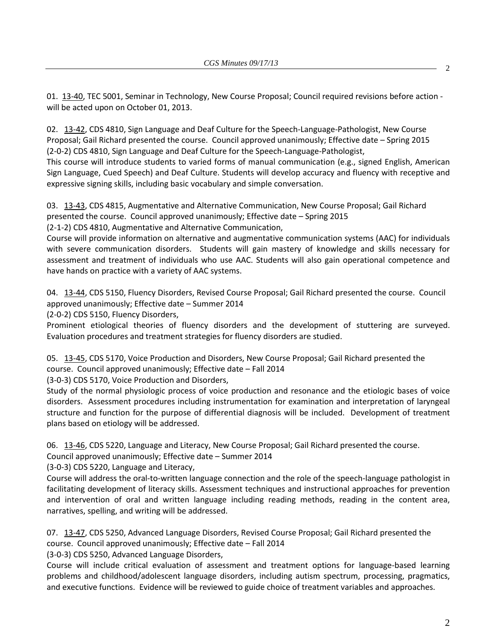01. [13-40,](http://castle.eiu.edu/~eiucgs/currentagendaitems/agenda13-40.pdf) TEC 5001, Seminar in Technology, New Course Proposal; Council required revisions before action will be acted upon on October 01, 2013.

02. [13-42,](http://castle.eiu.edu/~eiucgs/currentagendaitems/agenda13-42.pdf) CDS 4810, Sign Language and Deaf Culture for the Speech-Language-Pathologist, New Course Proposal; Gail Richard presented the course. Council approved unanimously; Effective date – Spring 2015 (2-0-2) CDS 4810, Sign Language and Deaf Culture for the Speech-Language-Pathologist,

This course will introduce students to varied forms of manual communication (e.g., signed English, American Sign Language, Cued Speech) and Deaf Culture. Students will develop accuracy and fluency with receptive and expressive signing skills, including basic vocabulary and simple conversation.

03. [13-43,](http://castle.eiu.edu/~eiucgs/currentagendaitems/agenda13-43.pdf) CDS 4815, Augmentative and Alternative Communication, New Course Proposal; Gail Richard presented the course. Council approved unanimously; Effective date – Spring 2015

(2-1-2) CDS 4810, Augmentative and Alternative Communication,

Course will provide information on alternative and augmentative communication systems (AAC) for individuals with severe communication disorders. Students will gain mastery of knowledge and skills necessary for assessment and treatment of individuals who use AAC. Students will also gain operational competence and have hands on practice with a variety of AAC systems.

04. [13-44,](http://castle.eiu.edu/~eiucgs/currentagendaitems/agenda13-44.pdf) CDS 5150, Fluency Disorders, Revised Course Proposal; Gail Richard presented the course. Council approved unanimously; Effective date – Summer 2014

(2-0-2) CDS 5150, Fluency Disorders,

Prominent etiological theories of fluency disorders and the development of stuttering are surveyed. Evaluation procedures and treatment strategies for fluency disorders are studied.

05. [13-45,](http://castle.eiu.edu/~eiucgs/currentagendaitems/agenda13-45.pdf) CDS 5170, Voice Production and Disorders, New Course Proposal; Gail Richard presented the course. Council approved unanimously; Effective date – Fall 2014

(3-0-3) CDS 5170, Voice Production and Disorders,

Study of the normal physiologic process of voice production and resonance and the etiologic bases of voice disorders. Assessment procedures including instrumentation for examination and interpretation of laryngeal structure and function for the purpose of differential diagnosis will be included. Development of treatment plans based on etiology will be addressed.

06. [13-46,](http://castle.eiu.edu/~eiucgs/currentagendaitems/agenda13-46.pdf) CDS 5220, Language and Literacy, New Course Proposal; Gail Richard presented the course.

Council approved unanimously; Effective date – Summer 2014

(3-0-3) CDS 5220, Language and Literacy,

Course will address the oral-to-written language connection and the role of the speech-language pathologist in facilitating development of literacy skills. Assessment techniques and instructional approaches for prevention and intervention of oral and written language including reading methods, reading in the content area, narratives, spelling, and writing will be addressed.

07. [13-47,](http://castle.eiu.edu/~eiucgs/currentagendaitems/agenda13-47.pdf) CDS 5250, Advanced Language Disorders, Revised Course Proposal; Gail Richard presented the course. Council approved unanimously; Effective date – Fall 2014

(3-0-3) CDS 5250, Advanced Language Disorders,

Course will include critical evaluation of assessment and treatment options for language-based learning problems and childhood/adolescent language disorders, including autism spectrum, processing, pragmatics, and executive functions. Evidence will be reviewed to guide choice of treatment variables and approaches.

2